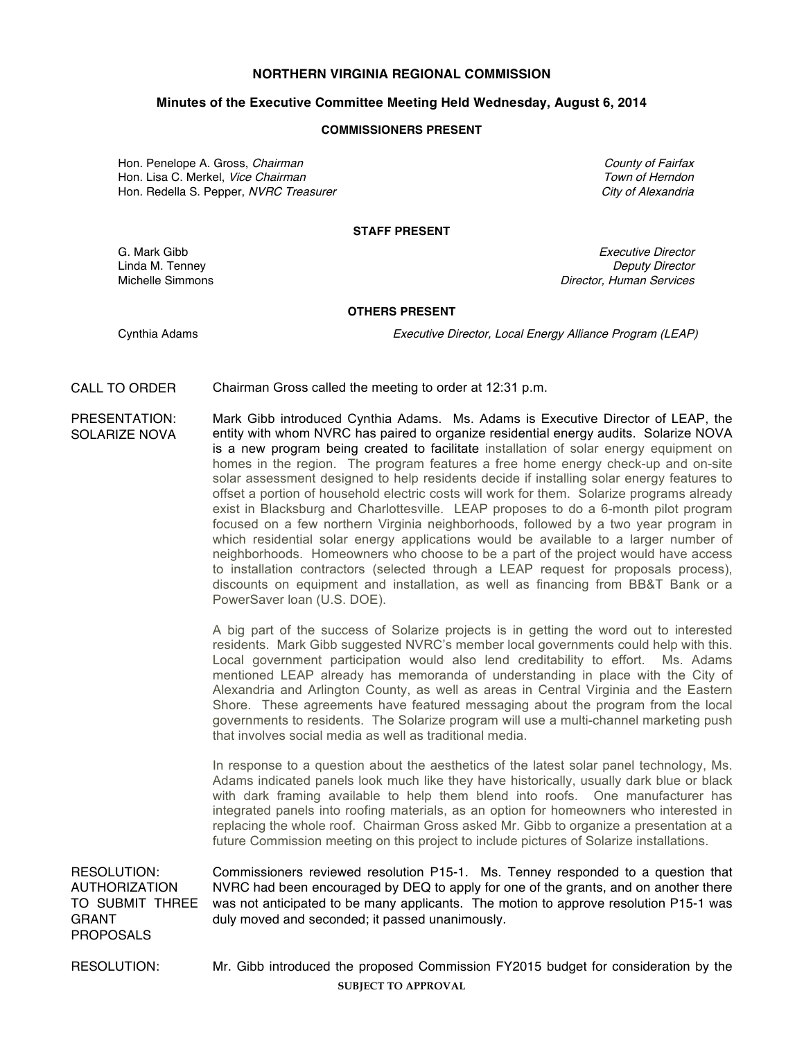# **NORTHERN VIRGINIA REGIONAL COMMISSION**

# **Minutes of the Executive Committee Meeting Held Wednesday, August 6, 2014**

### **COMMISSIONERS PRESENT**

Hon. Penelope A. Gross. Chairman County of Fairfax County of Fairfax Hon. Lisa C. Merkel, *Vice Chairman* The Communication of *Herndon* Town of Herndon Hon. Redella S. Pepper, NVRC Treasurer City of Alexandria City of Alexandria

# **STAFF PRESENT**

G. Mark Gibb **Executive Director** Control of the Security of the Executive Director Linda M. Tenney **Deputy Director** Communication Communication Communication Communication Communication Communication Communication Communication Communication Communication Communication Communication Communication Commun Michelle Simmons **Director**, Human Services **Director**, Human Services

#### **OTHERS PRESENT**

Cynthia Adams Executive Director, Local Energy Alliance Program (LEAP)

CALL TO ORDER Chairman Gross called the meeting to order at 12:31 p.m.

PRESENTATION: SOLARIZE NOVA Mark Gibb introduced Cynthia Adams. Ms. Adams is Executive Director of LEAP, the entity with whom NVRC has paired to organize residential energy audits. Solarize NOVA is a new program being created to facilitate installation of solar energy equipment on homes in the region. The program features a free home energy check-up and on-site solar assessment designed to help residents decide if installing solar energy features to offset a portion of household electric costs will work for them. Solarize programs already exist in Blacksburg and Charlottesville. LEAP proposes to do a 6-month pilot program focused on a few northern Virginia neighborhoods, followed by a two year program in which residential solar energy applications would be available to a larger number of neighborhoods. Homeowners who choose to be a part of the project would have access to installation contractors (selected through a LEAP request for proposals process), discounts on equipment and installation, as well as financing from BB&T Bank or a PowerSaver loan (U.S. DOE).

> A big part of the success of Solarize projects is in getting the word out to interested residents. Mark Gibb suggested NVRC's member local governments could help with this. Local government participation would also lend creditability to effort. Ms. Adams mentioned LEAP already has memoranda of understanding in place with the City of Alexandria and Arlington County, as well as areas in Central Virginia and the Eastern Shore. These agreements have featured messaging about the program from the local governments to residents. The Solarize program will use a multi-channel marketing push that involves social media as well as traditional media.

> In response to a question about the aesthetics of the latest solar panel technology, Ms. Adams indicated panels look much like they have historically, usually dark blue or black with dark framing available to help them blend into roofs. One manufacturer has integrated panels into roofing materials, as an option for homeowners who interested in replacing the whole roof. Chairman Gross asked Mr. Gibb to organize a presentation at a future Commission meeting on this project to include pictures of Solarize installations.

RESOLUTION: AUTHORIZATION TO SUBMIT THREE GRANT PROPOSALS Commissioners reviewed resolution P15-1. Ms. Tenney responded to a question that NVRC had been encouraged by DEQ to apply for one of the grants, and on another there was not anticipated to be many applicants. The motion to approve resolution P15-1 was duly moved and seconded; it passed unanimously.

**SUBJECT TO APPROVAL** RESOLUTION: Mr. Gibb introduced the proposed Commission FY2015 budget for consideration by the